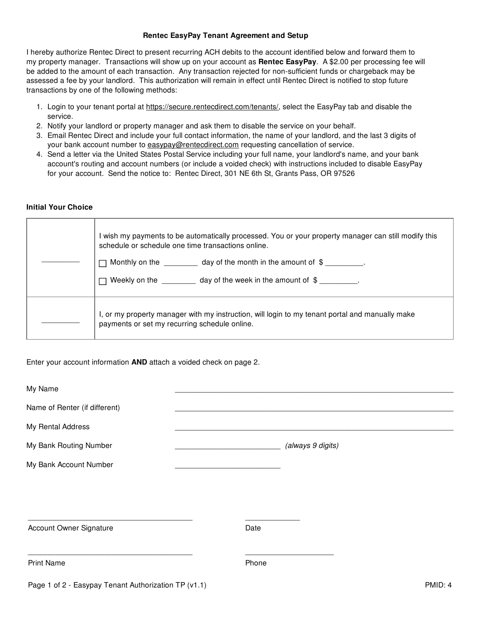## **Rentec EasyPay Tenant Agreement and Setup**

I hereby authorize Rentec Direct to present recurring ACH debits to the account identified below and forward them to my property manager. Transactions will show up on your account as **Rentec EasyPay**. A \$2.00 per processing fee will be added to the amount of each transaction. Any transaction rejected for non-sufficient funds or chargeback may be assessed a fee by your landlord. This authorization will remain in effect until Rentec Direct is notified to stop future transactions by one of the following methods:

- 1. Login to your tenant portal at https://secure.rentecdirect.com/tenants/, select the EasyPay tab and disable the service.
- 2. Notify your landlord or property manager and ask them to disable the service on your behalf.
- 3. Email Rentec Direct and include your full contact information, the name of your landlord, and the last 3 digits of your bank account number to easypay@rentecdirect.com requesting cancellation of service.
- 4. Send a letter via the United States Postal Service including your full name, your landlord's name, and your bank account's routing and account numbers (or include a voided check) with instructions included to disable EasyPay for your account. Send the notice to: Rentec Direct, 301 NE 6th St, Grants Pass, OR 97526

## **Initial Your Choice**

| I wish my payments to be automatically processed. You or your property manager can still modify this<br>schedule or schedule one time transactions online.<br>Monthly on the $\qquad \qquad$ day of the month in the amount of $\frac{1}{2}$ .<br>Weekly on the $\qquad \qquad$ day of the week in the amount of $\text{\$}$ |
|------------------------------------------------------------------------------------------------------------------------------------------------------------------------------------------------------------------------------------------------------------------------------------------------------------------------------|
| I, or my property manager with my instruction, will login to my tenant portal and manually make<br>payments or set my recurring schedule online.                                                                                                                                                                             |

## Enter your account information **AND** attach a voided check on page 2.

| My Name                                              |                   |         |
|------------------------------------------------------|-------------------|---------|
| Name of Renter (if different)                        |                   |         |
| My Rental Address                                    |                   |         |
| My Bank Routing Number                               | (always 9 digits) |         |
| My Bank Account Number                               |                   |         |
|                                                      |                   |         |
|                                                      |                   |         |
| Account Owner Signature                              | Date              |         |
| <b>Print Name</b>                                    | Phone             |         |
| Page 1 of 2 - Easypay Tenant Authorization TP (v1.1) |                   | PMID: 4 |